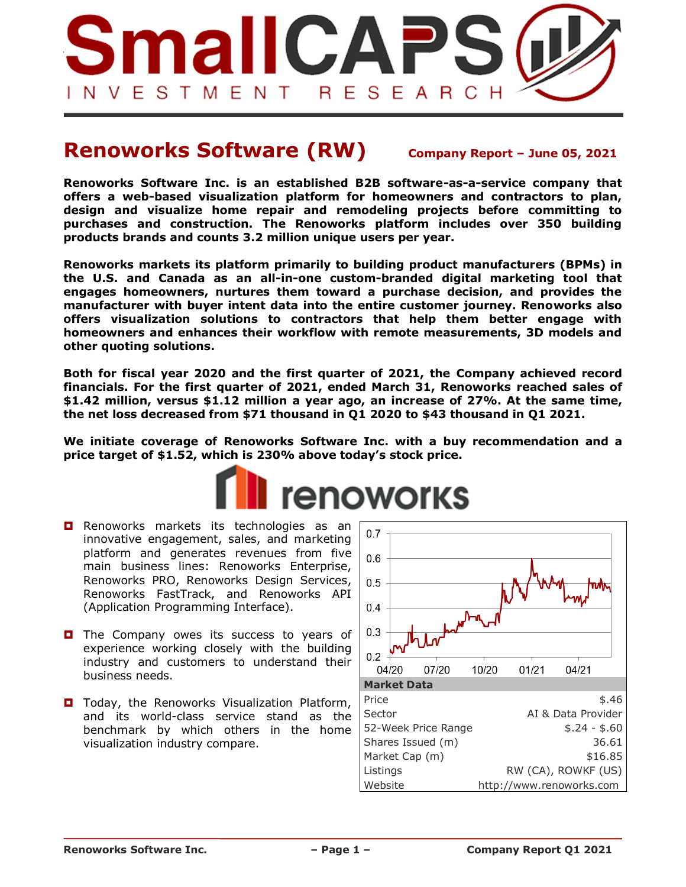

# **Renoworks Software (RW) Company Report – June 05, <sup>2021</sup>**

**Renoworks Software Inc. is an established B2B software-as-a-service company that offers a web-based visualization platform for homeowners and contractors to plan, design and visualize home repair and remodeling projects before committing to purchases and construction. The Renoworks platform includes over 350 building products brands and counts 3.2 million unique users per year.**

**Renoworks markets its platform primarily to building product manufacturers (BPMs) in the U.S. and Canada as an all-in-one custom-branded digital marketing tool that engages homeowners, nurtures them toward a purchase decision, and provides the manufacturer with buyer intent data into the entire customer journey. Renoworks also offers visualization solutions to contractors that help them better engage with homeowners and enhances their workflow with remote measurements, 3D models and other quoting solutions.**

**Both for fiscal year 2020 and the first quarter of 2021, the Company achieved record financials. For the first quarter of 2021, ended March 31, Renoworks reached sales of \$1.42 million, versus \$1.12 million a year ago, an increase of 27%. At the same time, the net loss decreased from \$71 thousand in Q1 2020 to \$43 thousand in Q1 2021.** 

**We initiate coverage of Renoworks Software Inc. with a buy recommendation and a price target of \$1.52, which is 230% above today's stock price.**



- **Renoworks markets its technologies as an** innovative engagement, sales, and marketing platform and generates revenues from five main business lines: Renoworks Enterprise, Renoworks PRO, Renoworks Design Services, Renoworks FastTrack, and Renoworks API (Application Programming Interface).
- $\Box$  The Company owes its success to years of experience working closely with the building industry and customers to understand their business needs.
- **D** Today, the Renoworks Visualization Platform, and its world-class service stand as the benchmark by which others in the home visualization industry compare.

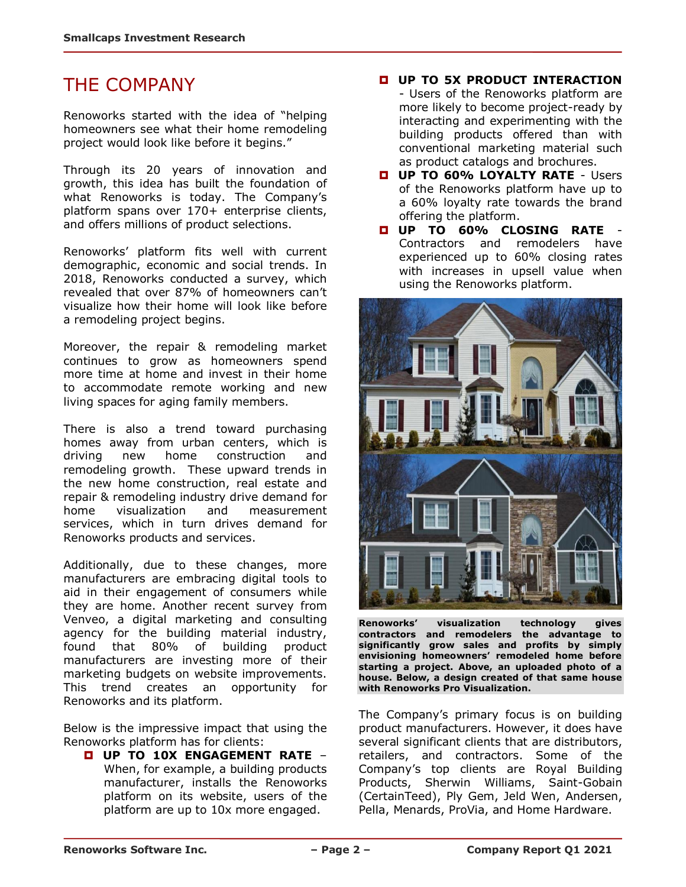# THE COMPANY

Renoworks started with the idea of "helping homeowners see what their home remodeling project would look like before it begins."

Through its 20 years of innovation and growth, this idea has built the foundation of what Renoworks is today. The Company's platform spans over 170+ enterprise clients, and offers millions of product selections.

Renoworks' platform fits well with current demographic, economic and social trends. In 2018, Renoworks conducted a survey, which revealed that over 87% of homeowners can't visualize how their home will look like before a remodeling project begins.

Moreover, the repair & remodeling market continues to grow as homeowners spend more time at home and invest in their home to accommodate remote working and new living spaces for aging family members.

There is also a trend toward purchasing homes away from urban centers, which is driving new home construction and remodeling growth. These upward trends in the new home construction, real estate and repair & remodeling industry drive demand for home visualization and measurement services, which in turn drives demand for Renoworks products and services.

Additionally, due to these changes, more manufacturers are embracing digital tools to aid in their engagement of consumers while they are home. Another recent survey from Venveo, a digital marketing and consulting agency for the building material industry, found that 80% of building product manufacturers are investing more of their marketing budgets on website improvements. This trend creates an opportunity for Renoworks and its platform.

Below is the impressive impact that using the Renoworks platform has for clients:

 **UP TO 10X ENGAGEMENT RATE** – When, for example, a building products manufacturer, installs the Renoworks platform on its website, users of the platform are up to 10x more engaged.

- **UP TO 5X PRODUCT INTERACTION** - Users of the Renoworks platform are more likely to become project-ready by interacting and experimenting with the building products offered than with conventional marketing material such as product catalogs and brochures.
- **UP TO 60% LOYALTY RATE** Users of the Renoworks platform have up to a 60% loyalty rate towards the brand offering the platform.
- **UP TO 60% CLOSING RATE** Contractors and remodelers have experienced up to 60% closing rates with increases in upsell value when using the Renoworks platform.



**Renoworks' visualization technology gives contractors and remodelers the advantage to significantly grow sales and profits by simply envisioning homeowners' remodeled home before starting a project. Above, an uploaded photo of a house. Below, a design created of that same house with Renoworks Pro Visualization.**

The Company's primary focus is on building product manufacturers. However, it does have several significant clients that are distributors, retailers, and contractors. Some of the Company's top clients are Royal Building Products, Sherwin Williams, Saint-Gobain (CertainTeed), Ply Gem, Jeld Wen, Andersen, Pella, Menards, ProVia, and Home Hardware.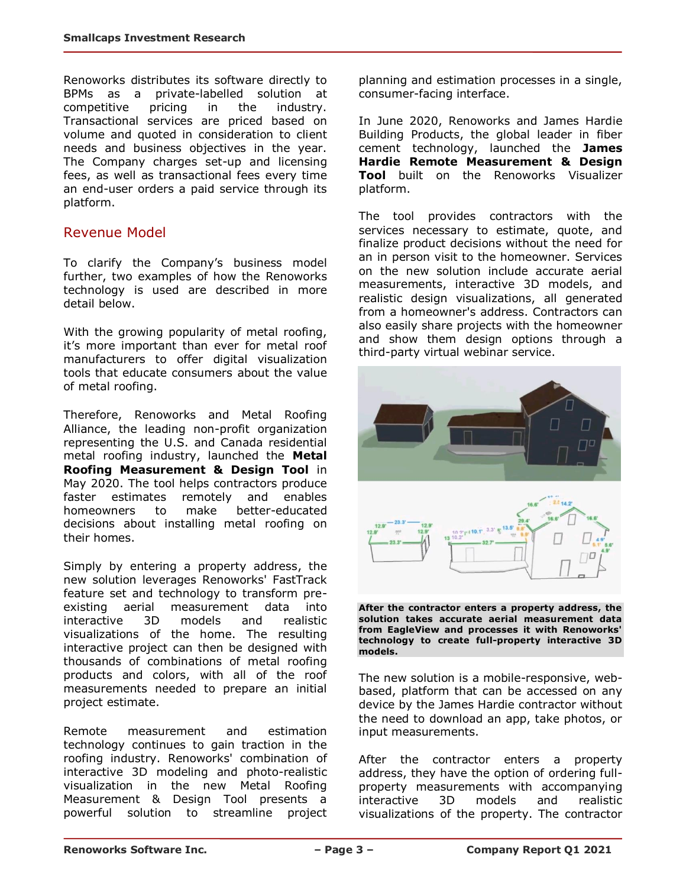Renoworks distributes its software directly to BPMs as a private-labelled solution at competitive pricing in the industry. Transactional services are priced based on volume and quoted in consideration to client needs and business objectives in the year. The Company charges set-up and licensing fees, as well as transactional fees every time an end-user orders a paid service through its platform.

## Revenue Model

To clarify the Company's business model further, two examples of how the Renoworks technology is used are described in more detail below.

With the growing popularity of metal roofing, it's more important than ever for metal roof manufacturers to offer digital visualization tools that educate consumers about the value of metal roofing.

Therefore, Renoworks and Metal Roofing Alliance, the leading non-profit organization representing the U.S. and Canada residential metal roofing industry, launched the **Metal Roofing Measurement & Design Tool** in May 2020. The tool helps contractors produce faster estimates remotely and enables homeowners to make better-educated decisions about installing metal roofing on their homes.

Simply by entering a property address, the new solution leverages Renoworks' FastTrack feature set and technology to transform preexisting aerial measurement data into interactive 3D models and realistic visualizations of the home. The resulting interactive project can then be designed with thousands of combinations of metal roofing products and colors, with all of the roof measurements needed to prepare an initial project estimate.

Remote measurement and estimation technology continues to gain traction in the roofing industry. Renoworks' combination of interactive 3D modeling and photo-realistic visualization in the new Metal Roofing Measurement & Design Tool presents a powerful solution to streamline project planning and estimation processes in a single, consumer-facing interface.

In June 2020, Renoworks and James Hardie Building Products, the global leader in fiber cement technology, launched the **James Hardie Remote Measurement & Design Tool** built on the Renoworks Visualizer platform.

The tool provides contractors with the services necessary to estimate, quote, and finalize product decisions without the need for an in person visit to the homeowner. Services on the new solution include accurate aerial measurements, interactive 3D models, and realistic design visualizations, all generated from a homeowner's address. Contractors can also easily share projects with the homeowner and show them design options through a third-party virtual webinar service.



**After the contractor enters a property address, the solution takes accurate aerial measurement data from EagleView and processes it with Renoworks' technology to create full-property interactive 3D models.**

The new solution is a mobile-responsive, webbased, platform that can be accessed on any device by the James Hardie contractor without the need to download an app, take photos, or input measurements.

After the contractor enters a property address, they have the option of ordering fullproperty measurements with accompanying interactive 3D models and realistic visualizations of the property. The contractor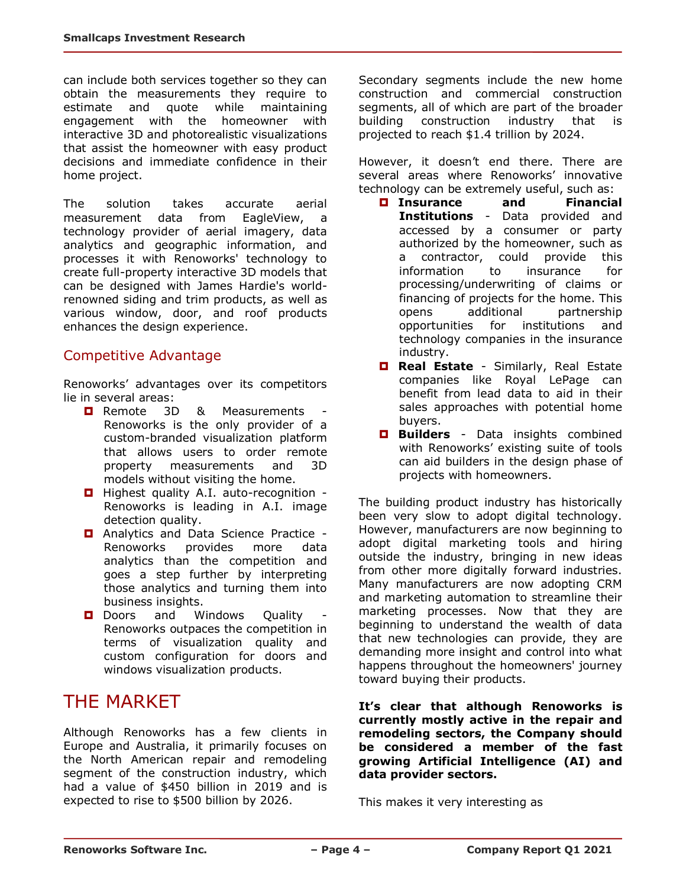can include both services together so they can obtain the measurements they require to estimate and quote while maintaining engagement with the homeowner with interactive 3D and photorealistic visualizations that assist the homeowner with easy product decisions and immediate confidence in their home project.

The solution takes accurate aerial measurement data from EagleView, a technology provider of aerial imagery, data analytics and geographic information, and processes it with Renoworks' technology to create full-property interactive 3D models that can be designed with James Hardie's worldrenowned siding and trim products, as well as various window, door, and roof products enhances the design experience.

## Competitive Advantage

Renoworks' advantages over its competitors lie in several areas:

- **Remote 3D & Measurements** Renoworks is the only provider of a custom-branded visualization platform that allows users to order remote property measurements and 3D models without visiting the home.
- **Highest quality A.I. auto-recognition -**Renoworks is leading in A.I. image detection quality.
- **D** Analytics and Data Science Practice -Renoworks provides more data analytics than the competition and goes a step further by interpreting those analytics and turning them into business insights.
- D Doors and Windows Quality Renoworks outpaces the competition in terms of visualization quality and custom configuration for doors and windows visualization products.

## THE MARKET

Although Renoworks has a few clients in Europe and Australia, it primarily focuses on the North American repair and remodeling segment of the construction industry, which had a value of \$450 billion in 2019 and is expected to rise to \$500 billion by 2026.

Secondary segments include the new home construction and commercial construction segments, all of which are part of the broader building construction industry that is projected to reach \$1.4 trillion by 2024.

However, it doesn't end there. There are several areas where Renoworks' innovative technology can be extremely useful, such as:

- **Insurance and Financial Institutions** - Data provided and accessed by a consumer or party authorized by the homeowner, such as a contractor, could provide this information to insurance for processing/underwriting of claims or financing of projects for the home. This opens additional partnership opportunities for institutions and technology companies in the insurance industry.
- **Real Estate** Similarly, Real Estate companies like Royal LePage can benefit from lead data to aid in their sales approaches with potential home buyers.
- **Builders** Data insights combined with Renoworks' existing suite of tools can aid builders in the design phase of projects with homeowners.

The building product industry has historically been very slow to adopt digital technology. However, manufacturers are now beginning to adopt digital marketing tools and hiring outside the industry, bringing in new ideas from other more digitally forward industries. Many manufacturers are now adopting CRM and marketing automation to streamline their marketing processes. Now that they are beginning to understand the wealth of data that new technologies can provide, they are demanding more insight and control into what happens throughout the homeowners' journey toward buying their products.

**It's clear that although Renoworks is currently mostly active in the repair and remodeling sectors, the Company should be considered a member of the fast growing Artificial Intelligence (AI) and data provider sectors.** 

This makes it very interesting as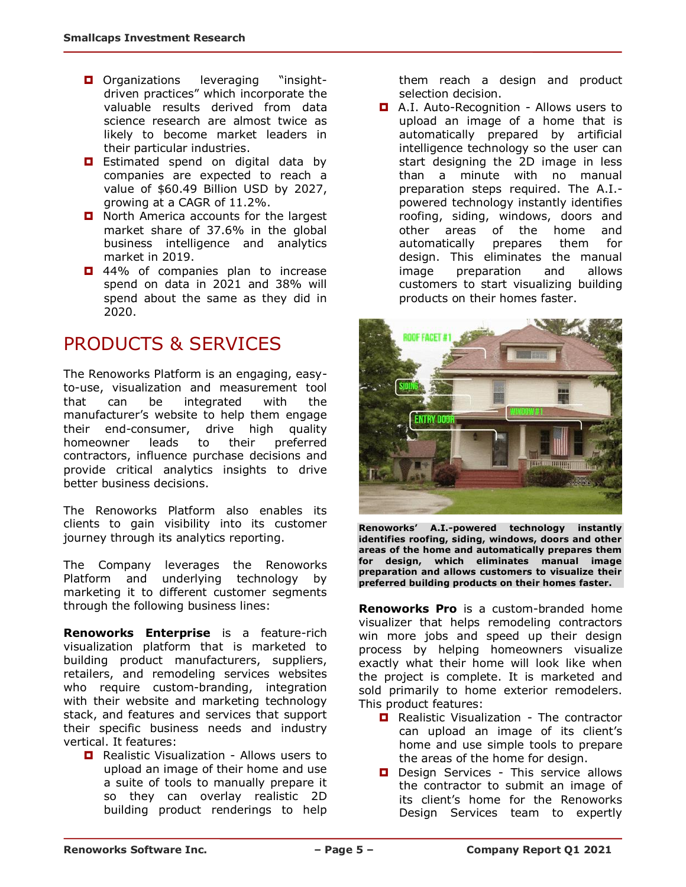- **O** Organizations leveraging "insightdriven practices" which incorporate the valuable results derived from data science research are almost twice as likely to become market leaders in their particular industries.
- **E** Estimated spend on digital data by companies are expected to reach a value of \$60.49 Billion USD by 2027, growing at a CAGR of 11.2%.
- North America accounts for the largest market share of 37.6% in the global business intelligence and analytics market in 2019.
- $\Box$  44% of companies plan to increase spend on data in 2021 and 38% will spend about the same as they did in 2020.

## PRODUCTS & SERVICES

The Renoworks Platform is an engaging, easyto-use, visualization and measurement tool that can be integrated with the manufacturer's website to help them engage their end-consumer, drive high quality homeowner leads to their preferred contractors, influence purchase decisions and provide critical analytics insights to drive better business decisions.

The Renoworks Platform also enables its clients to gain visibility into its customer journey through its analytics reporting.

The Company leverages the Renoworks Platform and underlying technology by marketing it to different customer segments through the following business lines:

**Renoworks Enterprise** is a feature-rich visualization platform that is marketed to building product manufacturers, suppliers, retailers, and remodeling services websites who require custom-branding, integration with their website and marketing technology stack, and features and services that support their specific business needs and industry vertical. It features:

**D** Realistic Visualization - Allows users to upload an image of their home and use a suite of tools to manually prepare it so they can overlay realistic 2D building product renderings to help them reach a design and product selection decision.

**D** A.I. Auto-Recognition - Allows users to upload an image of a home that is automatically prepared by artificial intelligence technology so the user can start designing the 2D image in less than a minute with no manual preparation steps required. The A.I. powered technology instantly identifies roofing, siding, windows, doors and other areas of the home and automatically prepares them for design. This eliminates the manual image preparation and allows customers to start visualizing building products on their homes faster.



**Renoworks' A.I.-powered technology instantly identifies roofing, siding, windows, doors and other areas of the home and automatically prepares them for design, which eliminates manual image preparation and allows customers to visualize their preferred building products on their homes faster.**

**Renoworks Pro** is a custom-branded home visualizer that helps remodeling contractors win more jobs and speed up their design process by helping homeowners visualize exactly what their home will look like when the project is complete. It is marketed and sold primarily to home exterior remodelers. This product features:

- **Realistic Visualization The contractor** can upload an image of its client's home and use simple tools to prepare the areas of the home for design.
- D Design Services This service allows the contractor to submit an image of its client's home for the Renoworks Design Services team to expertly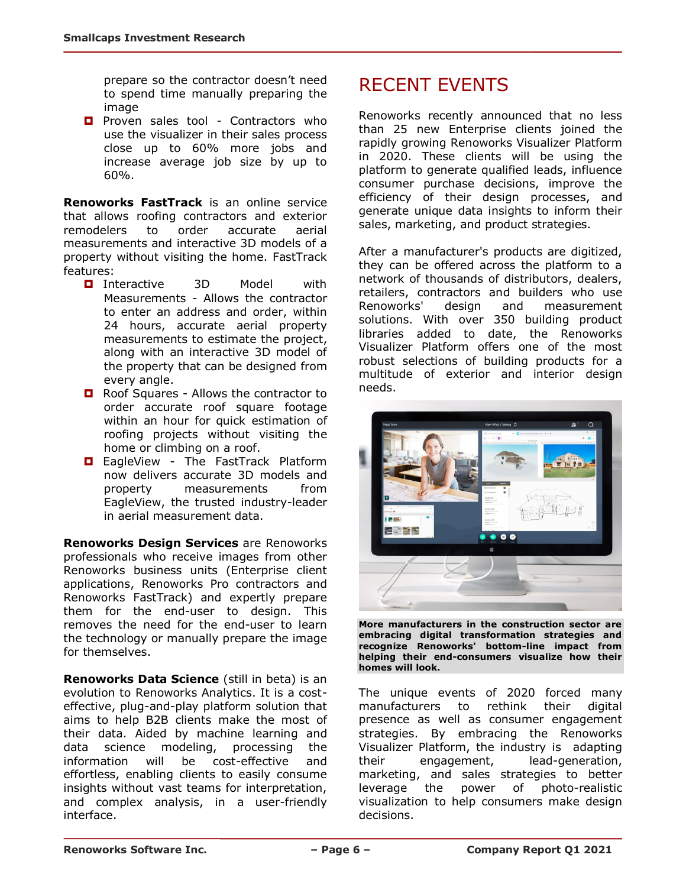prepare so the contractor doesn't need to spend time manually preparing the image

**Proven sales tool - Contractors who** use the visualizer in their sales process close up to 60% more jobs and increase average job size by up to 60%.

**Renoworks FastTrack** is an online service that allows roofing contractors and exterior remodelers to order accurate aerial measurements and interactive 3D models of a property without visiting the home. FastTrack features:

- **D** Interactive 3D Model with Measurements - Allows the contractor to enter an address and order, within 24 hours, accurate aerial property measurements to estimate the project, along with an interactive 3D model of the property that can be designed from every angle.
- **Q** Roof Squares Allows the contractor to order accurate roof square footage within an hour for quick estimation of roofing projects without visiting the home or climbing on a roof.
- **E** EagleView The FastTrack Platform now delivers accurate 3D models and property measurements from EagleView, the trusted industry-leader in aerial measurement data.

**Renoworks Design Services** are Renoworks professionals who receive images from other Renoworks business units (Enterprise client applications, Renoworks Pro contractors and Renoworks FastTrack) and expertly prepare them for the end-user to design. This removes the need for the end-user to learn the technology or manually prepare the image for themselves.

**Renoworks Data Science** (still in beta) is an evolution to Renoworks Analytics. It is a costeffective, plug-and-play platform solution that aims to help B2B clients make the most of their data. Aided by machine learning and data science modeling, processing the information will be cost-effective and effortless, enabling clients to easily consume insights without vast teams for interpretation, and complex analysis, in a user-friendly interface.

# RECENT EVENTS

Renoworks recently announced that no less than 25 new Enterprise clients joined the rapidly growing Renoworks Visualizer Platform in 2020. These clients will be using the platform to generate qualified leads, influence consumer purchase decisions, improve the efficiency of their design processes, and generate unique data insights to inform their sales, marketing, and product strategies.

After a manufacturer's products are digitized, they can be offered across the platform to a network of thousands of distributors, dealers, retailers, contractors and builders who use Renoworks' design and measurement solutions. With over 350 building product libraries added to date, the Renoworks Visualizer Platform offers one of the most robust selections of building products for a multitude of exterior and interior design needs.



**More manufacturers in the construction sector are embracing digital transformation strategies and recognize Renoworks' bottom-line impact from helping their end-consumers visualize how their homes will look.**

The unique events of 2020 forced many manufacturers to rethink their digital presence as well as consumer engagement strategies. By embracing the Renoworks Visualizer Platform, the industry is adapting their engagement, lead-generation, marketing, and sales strategies to better leverage the power of photo-realistic visualization to help consumers make design decisions.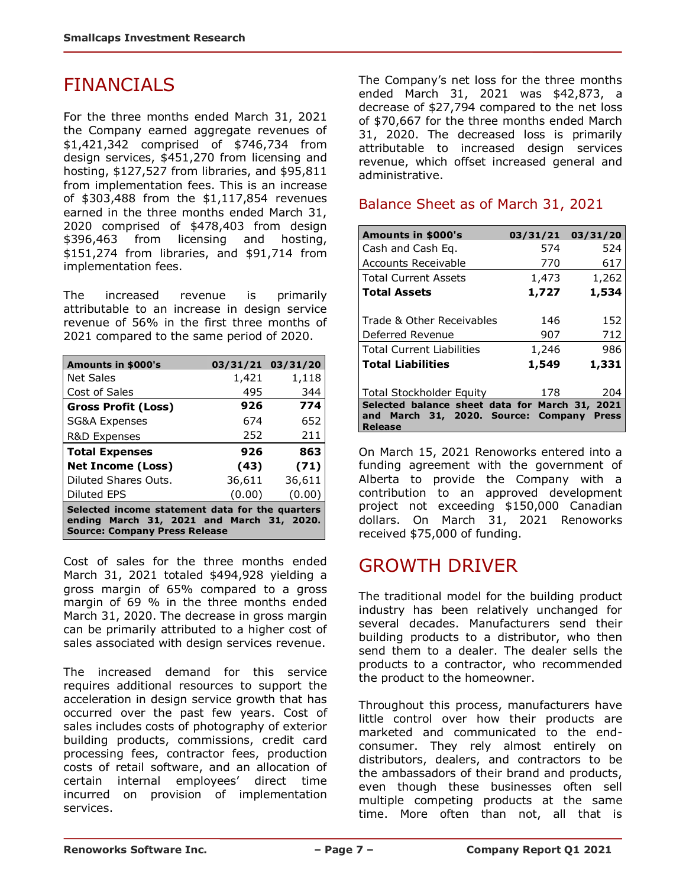## FINANCIALS

For the three months ended March 31, 2021 the Company earned aggregate revenues of \$1,421,342 comprised of \$746,734 from design services, \$451,270 from licensing and hosting, \$127,527 from libraries, and \$95,811 from implementation fees. This is an increase of \$303,488 from the \$1,117,854 revenues earned in the three months ended March 31, 2020 comprised of \$478,403 from design \$396,463 from licensing and hosting, \$151,274 from libraries, and \$91,714 from implementation fees.

The increased revenue is primarily attributable to an increase in design service revenue of 56% in the first three months of 2021 compared to the same period of 2020.

| Amounts in \$000's                                                                                                                   |        | 03/31/21 03/31/20 |  |  |  |
|--------------------------------------------------------------------------------------------------------------------------------------|--------|-------------------|--|--|--|
| <b>Net Sales</b>                                                                                                                     | 1,421  | 1,118             |  |  |  |
| Cost of Sales                                                                                                                        | 495    | 344               |  |  |  |
| <b>Gross Profit (Loss)</b>                                                                                                           | 926    | 774               |  |  |  |
| <b>SG&amp;A Expenses</b>                                                                                                             | 674    | 652               |  |  |  |
| R&D Expenses                                                                                                                         | 252    | 211               |  |  |  |
| <b>Total Expenses</b>                                                                                                                | 926    | 863               |  |  |  |
| <b>Net Income (Loss)</b>                                                                                                             | (43)   | (71)              |  |  |  |
| Diluted Shares Outs.                                                                                                                 | 36,611 | 36,611            |  |  |  |
| <b>Diluted EPS</b>                                                                                                                   | (0.00) | (0.00)            |  |  |  |
| Selected income statement data for the quarters<br>ending March 31, 2021 and March 31, 2020.<br><b>Source: Company Press Release</b> |        |                   |  |  |  |

Cost of sales for the three months ended March 31, 2021 totaled \$494,928 yielding a gross margin of 65% compared to a gross margin of 69 % in the three months ended March 31, 2020. The decrease in gross margin can be primarily attributed to a higher cost of sales associated with design services revenue.

The increased demand for this service requires additional resources to support the acceleration in design service growth that has occurred over the past few years. Cost of sales includes costs of photography of exterior building products, commissions, credit card processing fees, contractor fees, production costs of retail software, and an allocation of certain internal employees' direct time incurred on provision of implementation services.

The Company's net loss for the three months ended March 31, 2021 was \$42,873, a decrease of \$27,794 compared to the net loss of \$70,667 for the three months ended March 31, 2020. The decreased loss is primarily attributable to increased design services revenue, which offset increased general and administrative.

## Balance Sheet as of March 31, 2021

| Amounts in \$000's                                                                    | 03/31/21 | 03/31/20     |
|---------------------------------------------------------------------------------------|----------|--------------|
| Cash and Cash Eq.                                                                     | 574      | 524          |
| Accounts Receivable                                                                   | 770      | 617          |
| <b>Total Current Assets</b>                                                           | 1,473    | 1,262        |
| <b>Total Assets</b>                                                                   | 1,727    | 1,534        |
| Trade & Other Receivables                                                             | 146      | 152          |
| Deferred Revenue                                                                      | 907      | 712          |
| <b>Total Current Liabilities</b>                                                      | 1,246    | 986          |
| <b>Total Liabilities</b>                                                              | 1,549    | 1,331        |
| <b>Total Stockholder Equity</b>                                                       | 178      | 204          |
| Selected balance sheet data for March 31, 2021<br>and March 31, 2020. Source: Company |          | <b>Press</b> |
| <b>Release</b>                                                                        |          |              |

On March 15, 2021 Renoworks entered into a funding agreement with the government of Alberta to provide the Company with a contribution to an approved development project not exceeding \$150,000 Canadian dollars. On March 31, 2021 Renoworks received \$75,000 of funding.

## GROWTH DRIVER

The traditional model for the building product industry has been relatively unchanged for several decades. Manufacturers send their building products to a distributor, who then send them to a dealer. The dealer sells the products to a contractor, who recommended the product to the homeowner.

Throughout this process, manufacturers have little control over how their products are marketed and communicated to the endconsumer. They rely almost entirely on distributors, dealers, and contractors to be the ambassadors of their brand and products, even though these businesses often sell multiple competing products at the same time. More often than not, all that is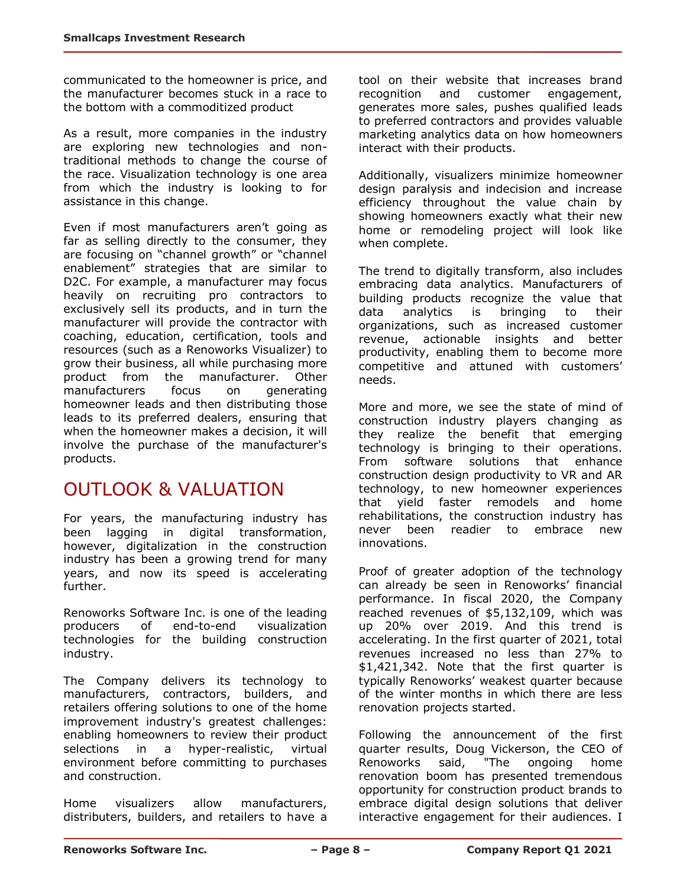communicated to the homeowner is price, and the manufacturer becomes stuck in a race to the bottom with a commoditized product

As a result, more companies in the industry are exploring new technologies and nontraditional methods to change the course of the race. Visualization technology is one area from which the industry is looking to for assistance in this change.

Even if most manufacturers aren't going as far as selling directly to the consumer, they are focusing on "channel growth" or "channel enablement" strategies that are similar to D2C. For example, a manufacturer may focus heavily on recruiting pro contractors to exclusively sell its products, and in turn the manufacturer will provide the contractor with coaching, education, certification, tools and resources (such as a Renoworks Visualizer) to grow their business, all while purchasing more product from the manufacturer. Other manufacturers focus on generating homeowner leads and then distributing those leads to its preferred dealers, ensuring that when the homeowner makes a decision, it will involve the purchase of the manufacturer's products.

# OUTLOOK & VALUATION

For years, the manufacturing industry has been lagging in digital transformation, however, digitalization in the construction industry has been a growing trend for many years, and now its speed is accelerating further.

Renoworks Software Inc. is one of the leading producers of end-to-end visualization technologies for the building construction industry.

The Company delivers its technology to manufacturers, contractors, builders, and retailers offering solutions to one of the home improvement industry's greatest challenges: enabling homeowners to review their product selections in a hyper-realistic, virtual environment before committing to purchases and construction.

Home visualizers allow manufacturers, distributers, builders, and retailers to have a tool on their website that increases brand recognition and customer engagement, generates more sales, pushes qualified leads to preferred contractors and provides valuable marketing analytics data on how homeowners interact with their products.

Additionally, visualizers minimize homeowner design paralysis and indecision and increase efficiency throughout the value chain by showing homeowners exactly what their new home or remodeling project will look like when complete.

The trend to digitally transform, also includes embracing data analytics. Manufacturers of building products recognize the value that data analytics is bringing to their organizations, such as increased customer revenue, actionable insights and better productivity, enabling them to become more competitive and attuned with customers' needs.

More and more, we see the state of mind of construction industry players changing as they realize the benefit that emerging technology is bringing to their operations. From software solutions that enhance construction design productivity to VR and AR technology, to new homeowner experiences that yield faster remodels and home rehabilitations, the construction industry has never been readier to embrace new innovations.

Proof of greater adoption of the technology can already be seen in Renoworks' financial performance. In fiscal 2020, the Company reached revenues of \$5,132,109, which was up 20% over 2019. And this trend is accelerating. In the first quarter of 2021, total revenues increased no less than 27% to \$1,421,342. Note that the first quarter is typically Renoworks' weakest quarter because of the winter months in which there are less renovation projects started.

Following the announcement of the first quarter results, Doug Vickerson, the CEO of Renoworks said, "The ongoing home renovation boom has presented tremendous opportunity for construction product brands to embrace digital design solutions that deliver interactive engagement for their audiences. I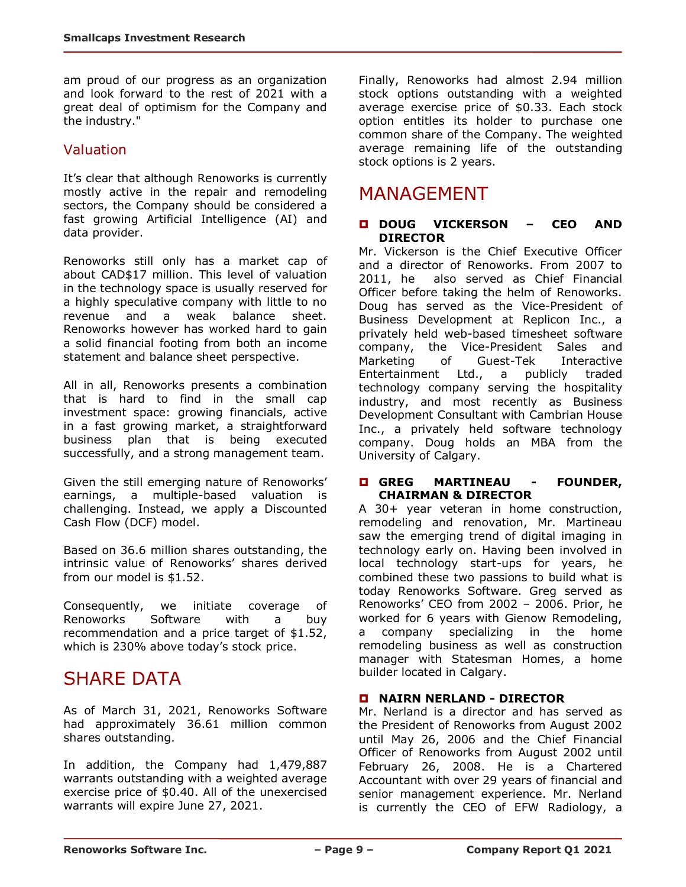am proud of our progress as an organization and look forward to the rest of 2021 with a great deal of optimism for the Company and the industry."

#### Valuation

It's clear that although Renoworks is currently mostly active in the repair and remodeling sectors, the Company should be considered a fast growing Artificial Intelligence (AI) and data provider.

Renoworks still only has a market cap of about CAD\$17 million. This level of valuation in the technology space is usually reserved for a highly speculative company with little to no revenue and a weak balance sheet. Renoworks however has worked hard to gain a solid financial footing from both an income statement and balance sheet perspective.

All in all, Renoworks presents a combination that is hard to find in the small cap investment space: growing financials, active in a fast growing market, a straightforward business plan that is being executed successfully, and a strong management team.

Given the still emerging nature of Renoworks' earnings, a multiple-based valuation is challenging. Instead, we apply a Discounted Cash Flow (DCF) model.

Based on 36.6 million shares outstanding, the intrinsic value of Renoworks' shares derived from our model is \$1.52.

Consequently, we initiate coverage of Renoworks Software with a buy recommendation and a price target of \$1.52, which is 230% above today's stock price.

## SHARE DATA

As of March 31, 2021, Renoworks Software had approximately 36.61 million common shares outstanding.

In addition, the Company had 1,479,887 warrants outstanding with a weighted average exercise price of \$0.40. All of the unexercised warrants will expire June 27, 2021.

Finally, Renoworks had almost 2.94 million stock options outstanding with a weighted average exercise price of \$0.33. Each stock option entitles its holder to purchase one common share of the Company. The weighted average remaining life of the outstanding stock options is 2 years.

## MANAGEMENT

#### **DOUG VICKERSON – CEO AND DIRECTOR**

Mr. Vickerson is the Chief Executive Officer and a director of Renoworks. From 2007 to 2011, he also served as Chief Financial Officer before taking the helm of Renoworks. Doug has served as the Vice-President of Business Development at Replicon Inc., a privately held web-based timesheet software company, the Vice-President Sales and Marketing of Guest-Tek Interactive Entertainment Ltd., a publicly traded technology company serving the hospitality industry, and most recently as Business Development Consultant with Cambrian House Inc., a privately held software technology company. Doug holds an MBA from the University of Calgary.

#### **GREG MARTINEAU - FOUNDER, CHAIRMAN & DIRECTOR**

A 30+ year veteran in home construction, remodeling and renovation, Mr. Martineau saw the emerging trend of digital imaging in technology early on. Having been involved in local technology start-ups for years, he combined these two passions to build what is today Renoworks Software. Greg served as Renoworks' CEO from 2002 – 2006. Prior, he worked for 6 years with Gienow Remodeling, a company specializing in the home remodeling business as well as construction manager with Statesman Homes, a home builder located in Calgary.

#### **NAIRN NERLAND - DIRECTOR**

Mr. Nerland is a director and has served as the President of Renoworks from August 2002 until May 26, 2006 and the Chief Financial Officer of Renoworks from August 2002 until February 26, 2008. He is a Chartered Accountant with over 29 years of financial and senior management experience. Mr. Nerland is currently the CEO of EFW Radiology, a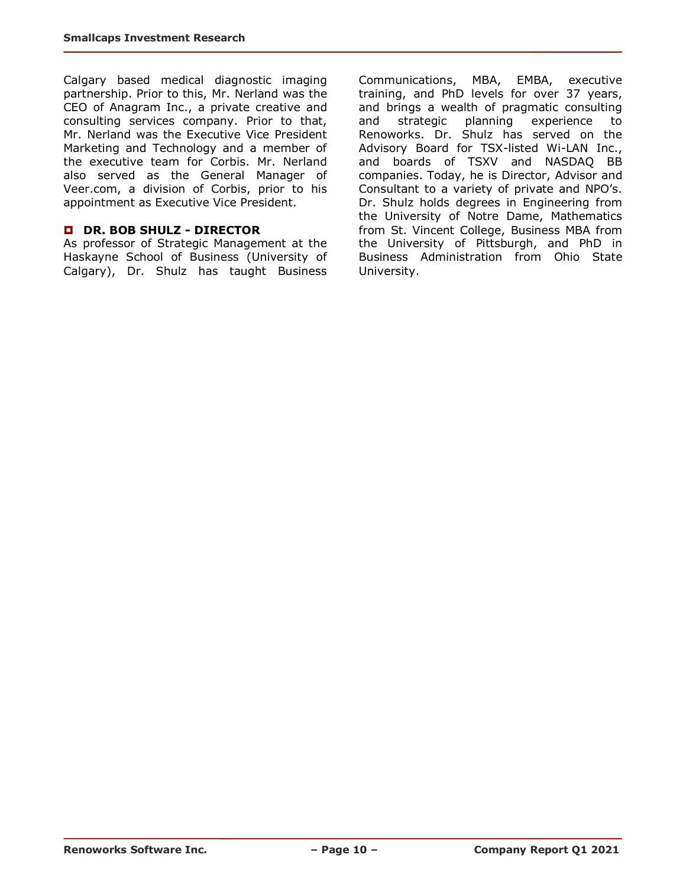Calgary based medical diagnostic imaging partnership. Prior to this, Mr. Nerland was the CEO of Anagram Inc., a private creative and consulting services company. Prior to that, Mr. Nerland was the Executive Vice President Marketing and Technology and a member of the executive team for Corbis. Mr. Nerland also served as the General Manager of Veer.com, a division of Corbis, prior to his appointment as Executive Vice President.

#### **DR. BOB SHULZ - DIRECTOR**

As professor of Strategic Management at the Haskayne School of Business (University of Calgary), Dr. Shulz has taught Business

Communications, MBA, EMBA, executive training, and PhD levels for over 37 years, and brings a wealth of pragmatic consulting and strategic planning experience to Renoworks. Dr. Shulz has served on the Advisory Board for TSX-listed Wi-LAN Inc., and boards of TSXV and NASDAQ BB companies. Today, he is Director, Advisor and Consultant to a variety of private and NPO's. Dr. Shulz holds degrees in Engineering from the University of Notre Dame, Mathematics from St. Vincent College, Business MBA from the University of Pittsburgh, and PhD in Business Administration from Ohio State University.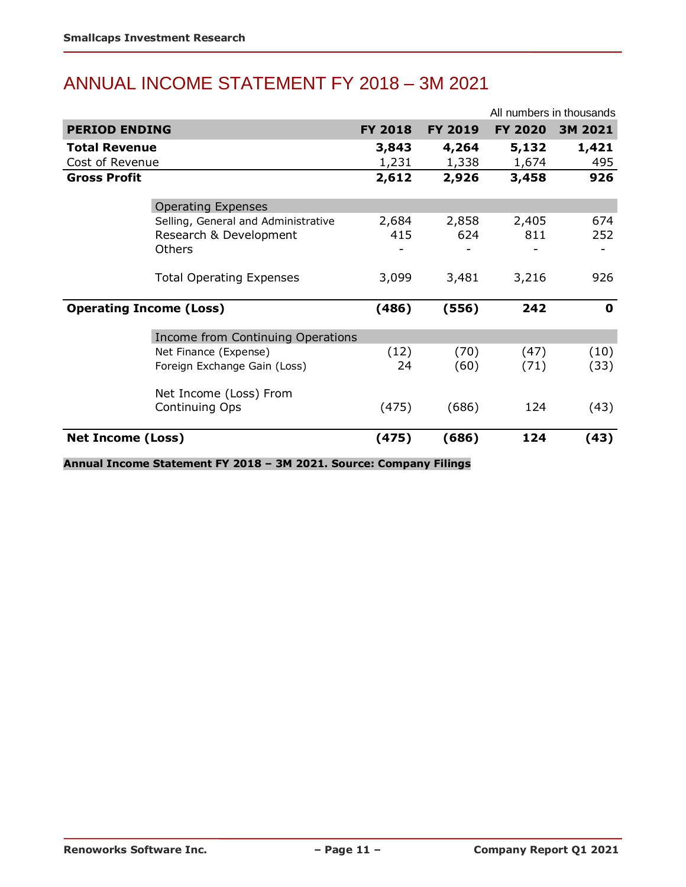# ANNUAL INCOME STATEMENT FY 2018 – 3M 2021

|                                |                                     |                | All numbers in thousands |                |             |
|--------------------------------|-------------------------------------|----------------|--------------------------|----------------|-------------|
| <b>PERIOD ENDING</b>           |                                     | <b>FY 2018</b> | <b>FY 2019</b>           | <b>FY 2020</b> | 3M 2021     |
| <b>Total Revenue</b>           |                                     | 3,843          | 4,264                    | 5,132          | 1,421       |
| Cost of Revenue                |                                     | 1,231          | 1,338                    | 1,674          | 495         |
| <b>Gross Profit</b>            |                                     | 2,612          | 2,926                    | 3,458          | 926         |
|                                | <b>Operating Expenses</b>           |                |                          |                |             |
|                                | Selling, General and Administrative | 2,684          | 2,858                    | 2,405          | 674         |
|                                | Research & Development              | 415            | 624                      | 811            | 252         |
|                                | Others                              |                |                          |                |             |
|                                | <b>Total Operating Expenses</b>     | 3,099          | 3,481                    | 3,216          | 926         |
| <b>Operating Income (Loss)</b> |                                     | (486)          | (556)                    | 242            | $\mathbf 0$ |
|                                | Income from Continuing Operations   |                |                          |                |             |
|                                | Net Finance (Expense)               | (12)           | (70)                     | (47)           | (10)        |
|                                | Foreign Exchange Gain (Loss)        | 24             | (60)                     | (71)           | (33)        |
|                                | Net Income (Loss) From              |                |                          |                |             |
|                                | Continuing Ops                      | (475)          | (686)                    | 124            | (43)        |
| <b>Net Income (Loss)</b>       |                                     | (475)          | (686)                    | 124            | (43)        |

**Annual Income Statement FY 2018 – 3M 2021. Source: Company Filings**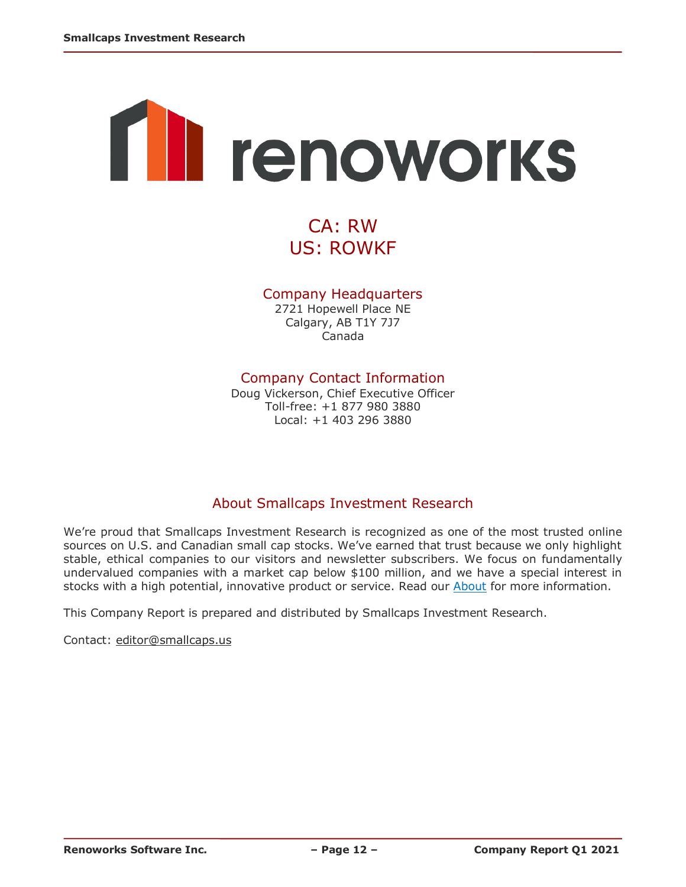# **The renoworks**

# CA: RW US: ROWKF

#### Company Headquarters

2721 Hopewell Place NE Calgary, AB T1Y 7J7 Canada

#### Company Contact Information

Doug Vickerson, Chief Executive Officer Toll-free: +1 877 980 3880 Local: +1 403 296 3880

## About Smallcaps Investment Research

We're proud that Smallcaps Investment Research is recognized as one of the most trusted online sources on U.S. and Canadian small cap stocks. We've earned that trust because we only highlight stable, ethical companies to our visitors and newsletter subscribers. We focus on fundamentally undervalued companies with a market cap below \$100 million, and we have a special interest in stocks with a high potential, innovative product or service. Read our [About](http://smallcaps.us/about) for more information.

This Company Report is prepared and distributed by Smallcaps Investment Research.

Contact: [editor@smallcaps.us](mailto:editor@smallcaps.us)